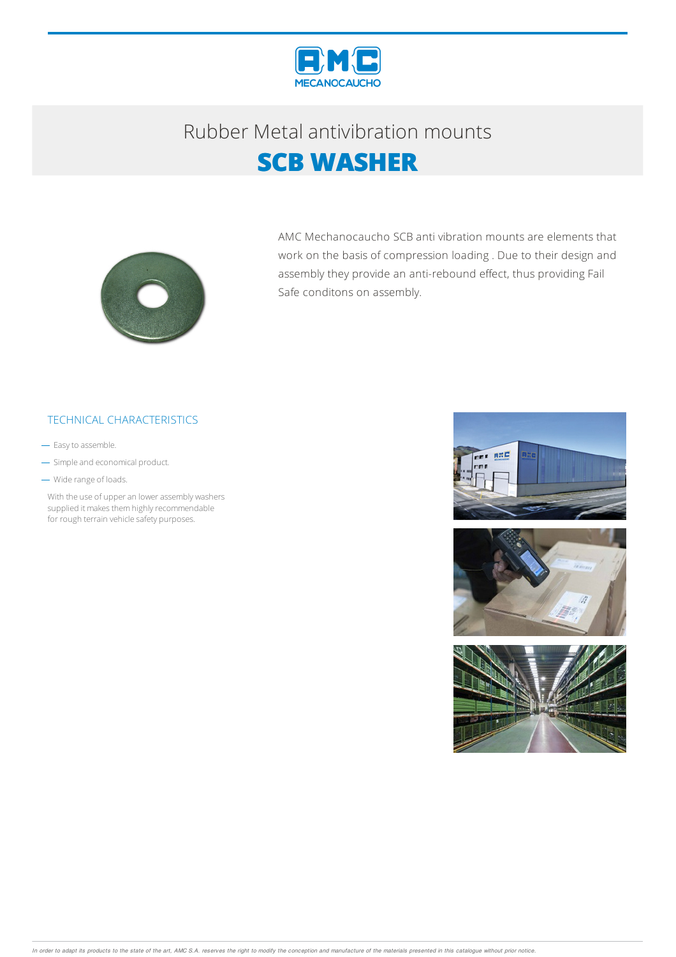

## Rubber Metalantivibration mounts **SCB WASHER**



AMC Mechanocaucho SCB anti vibration mounts are elements that work on the basis of compression loading . Due to their design and assembly they provide an anti-rebound effect, thus providing Fail Safe conditons on assembly.

#### TECHNICAL CHARACTERISTICS

- Easy to assemble.

- Simple and economical product.
- Wide range of loads.

With the use of upper an lower assembly washers supplied it makes them highly recommendable for rough terrain vehicle safety purposes.





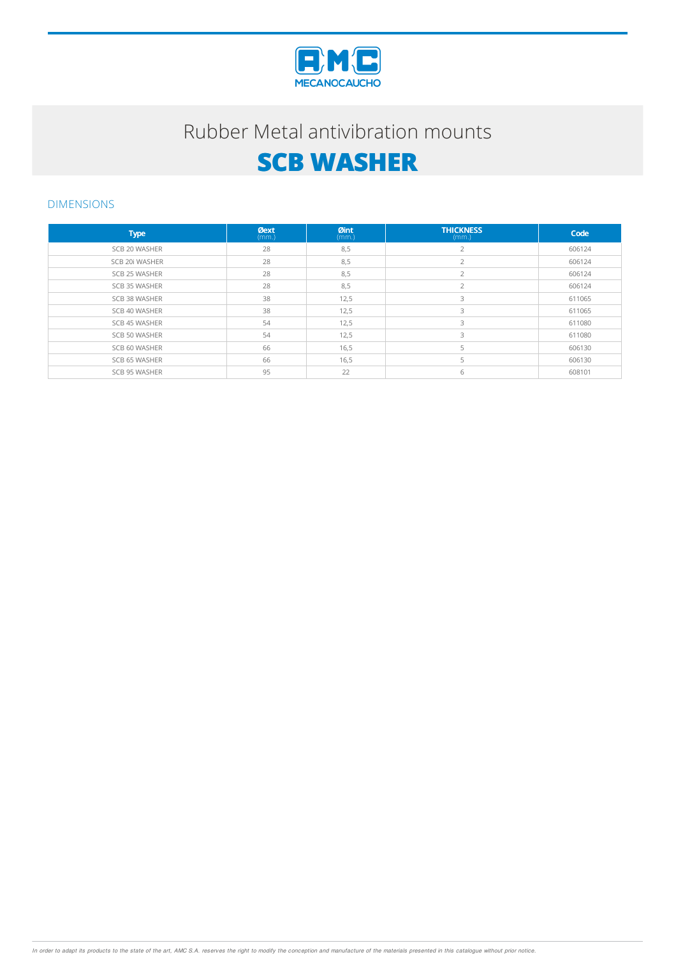

### Rubber Metal antivibration mounts

# **SCB WASHER**

#### DIMENSIONS

| <b>Type</b>    | <b>Øext</b><br>(mm.) | Øint<br>(mm.) | <b>THICKNESS</b><br>(mm.) | Code   |
|----------------|----------------------|---------------|---------------------------|--------|
| SCB 20 WASHER  | 28                   | 8,5           |                           | 606124 |
| SCB 20i WASHER | 28                   | 8,5           |                           | 606124 |
| SCB 25 WASHER  | 28                   | 8,5           | $\bigcap$                 | 606124 |
| SCB 35 WASHER  | 28                   | 8,5           | $\overline{ }$            | 606124 |
| SCB 38 WASHER  | 38                   | 12,5          | 3                         | 611065 |
| SCB 40 WASHER  | 38                   | 12,5          | 3                         | 611065 |
| SCB 45 WASHER  | 54                   | 12,5          | 3                         | 611080 |
| SCB 50 WASHER  | 54                   | 12,5          | 3                         | 611080 |
| SCB 60 WASHER  | 66                   | 16,5          |                           | 606130 |
| SCB 65 WASHER  | 66                   | 16,5          |                           | 606130 |
| SCB 95 WASHER  | 95                   | 22            | 6                         | 608101 |